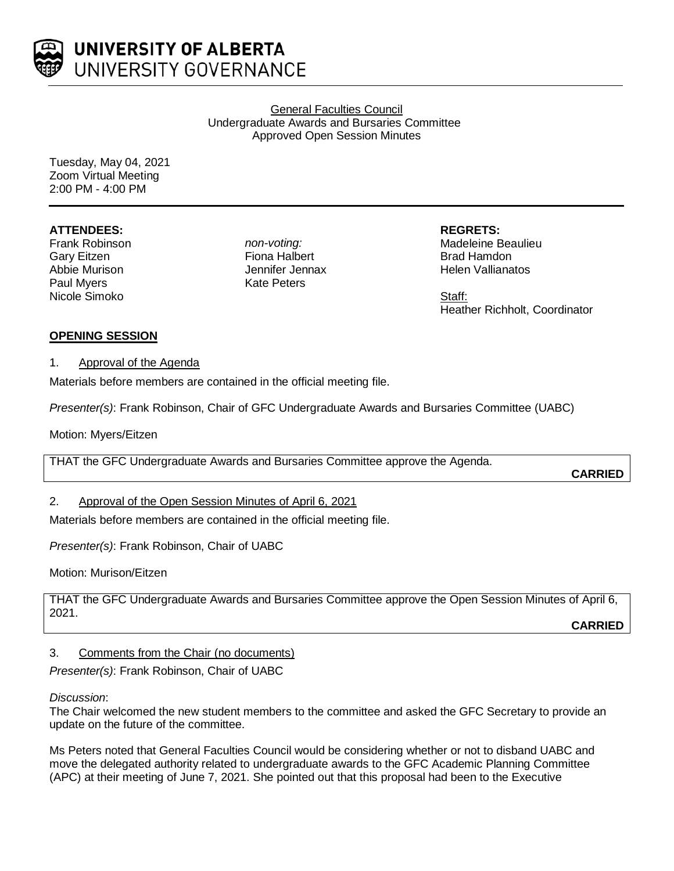

General Faculties Council Undergraduate Awards and Bursaries Committee Approved Open Session Minutes

Tuesday, May 04, 2021 Zoom Virtual Meeting 2:00 PM - 4:00 PM

# **ATTENDEES:**

Frank Robinson Gary Eitzen Abbie Murison Paul Myers Nicole Simoko

*non-voting:* Fiona Halbert Jennifer Jennax Kate Peters

**REGRETS:** Madeleine Beaulieu Brad Hamdon Helen Vallianatos

Staff: Heather Richholt, Coordinator

# **OPENING SESSION**

# 1. Approval of the Agenda

Materials before members are contained in the official meeting file.

*Presenter(s)*: Frank Robinson, Chair of GFC Undergraduate Awards and Bursaries Committee (UABC)

Motion: Myers/Eitzen

THAT the GFC Undergraduate Awards and Bursaries Committee approve the Agenda.

**CARRIED**

# 2. Approval of the Open Session Minutes of April 6, 2021

Materials before members are contained in the official meeting file.

*Presenter(s)*: Frank Robinson, Chair of UABC

Motion: Murison/Eitzen

THAT the GFC Undergraduate Awards and Bursaries Committee approve the Open Session Minutes of April 6, 2021.

**CARRIED**

# 3. Comments from the Chair (no documents)

*Presenter(s)*: Frank Robinson, Chair of UABC

# *Discussion*:

The Chair welcomed the new student members to the committee and asked the GFC Secretary to provide an update on the future of the committee.

Ms Peters noted that General Faculties Council would be considering whether or not to disband UABC and move the delegated authority related to undergraduate awards to the GFC Academic Planning Committee (APC) at their meeting of June 7, 2021. She pointed out that this proposal had been to the Executive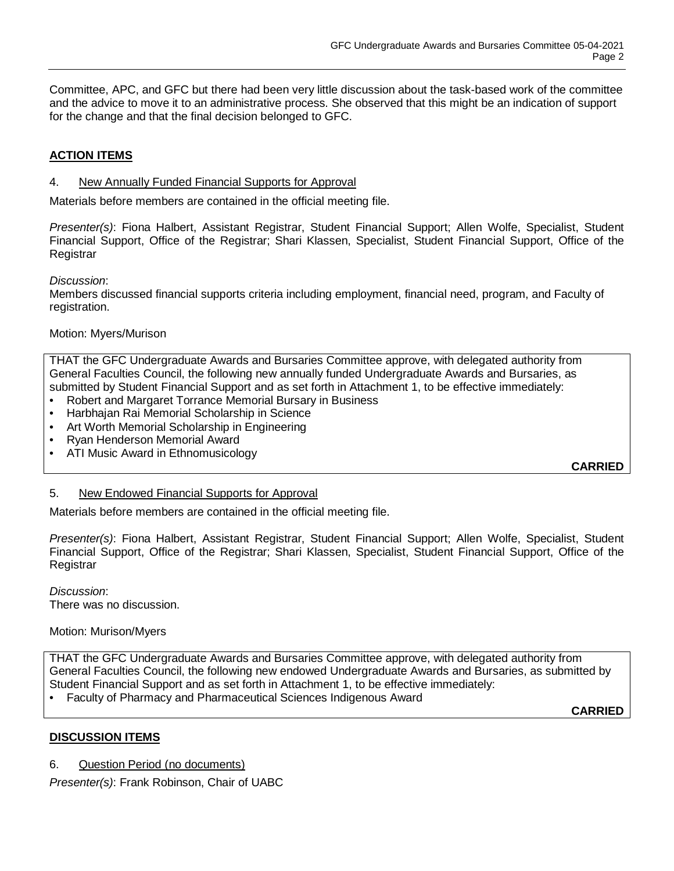Committee, APC, and GFC but there had been very little discussion about the task-based work of the committee and the advice to move it to an administrative process. She observed that this might be an indication of support for the change and that the final decision belonged to GFC.

# **ACTION ITEMS**

#### 4. New Annually Funded Financial Supports for Approval

Materials before members are contained in the official meeting file.

*Presenter(s)*: Fiona Halbert, Assistant Registrar, Student Financial Support; Allen Wolfe, Specialist, Student Financial Support, Office of the Registrar; Shari Klassen, Specialist, Student Financial Support, Office of the **Registrar** 

*Discussion*:

Members discussed financial supports criteria including employment, financial need, program, and Faculty of registration.

#### Motion: Myers/Murison

THAT the GFC Undergraduate Awards and Bursaries Committee approve, with delegated authority from General Faculties Council, the following new annually funded Undergraduate Awards and Bursaries, as submitted by Student Financial Support and as set forth in Attachment 1, to be effective immediately:

- Robert and Margaret Torrance Memorial Bursary in Business
- Harbhajan Rai Memorial Scholarship in Science
- Art Worth Memorial Scholarship in Engineering
- Ryan Henderson Memorial Award
- ATI Music Award in Ethnomusicology

**CARRIED**

#### 5. New Endowed Financial Supports for Approval

Materials before members are contained in the official meeting file.

*Presenter(s)*: Fiona Halbert, Assistant Registrar, Student Financial Support; Allen Wolfe, Specialist, Student Financial Support, Office of the Registrar; Shari Klassen, Specialist, Student Financial Support, Office of the **Registrar** 

*Discussion*: There was no discussion.

# Motion: Murison/Myers

THAT the GFC Undergraduate Awards and Bursaries Committee approve, with delegated authority from General Faculties Council, the following new endowed Undergraduate Awards and Bursaries, as submitted by Student Financial Support and as set forth in Attachment 1, to be effective immediately:

• Faculty of Pharmacy and Pharmaceutical Sciences Indigenous Award

**CARRIED**

# **DISCUSSION ITEMS**

6. Question Period (no documents)

*Presenter(s)*: Frank Robinson, Chair of UABC